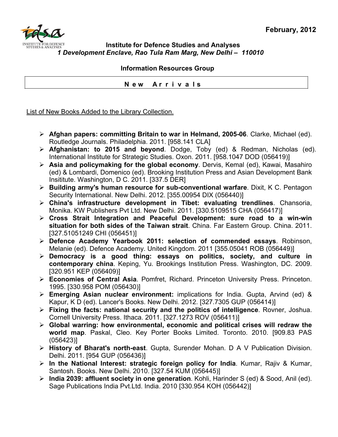

## **Institute for Defence Studies and Analyses** *1 Development Enclave, Rao Tula Ram Marg, New Delhi – 110010*

 **Information Resources Group** 

 **N e w A r r i v a l s**

List of New Books Added to the Library Collection.

- ¾ **Afghan papers: committing Britain to war in Helmand, 2005-06**. Clarke, Michael (ed). Routledge Journals. Philadelphia. 2011. [958.141 CLA]
- ¾ **Afghanistan: to 2015 and beyond**. Dodge, Toby (ed) & Redman, Nicholas (ed). International Institute for Strategic Studies. Oxon. 2011. [958.1047 DOD (056419)]
- ¾ **Asia and policymaking for the global economy**. Dervis, Kemal (ed), Kawai, Masahiro (ed) & Lombardi, Domenico (ed). Brooking Institution Press and Asian Development Bank Insititute. Washington, D C. 2011. [337.5 DER]
- ¾ **Building army's human resource for sub-conventional warfare**. Dixit, K C. Pentagon Security International. New Delhi. 2012. [355.00954 DIX (056440)]
- ¾ **China's infrastructure development in Tibet: evaluating trendlines**. Chansoria, Monika. KW Publishers Pvt Ltd. New Delhi. 2011. [330.5109515 CHA (056417)]
- ¾ **Cross Strait Integration and Peaceful Development: sure road to a win-win situation for both sides of the Taiwan strait**. China. Far Eastern Group. China. 2011. [327.51051249 CHI (056451)]
- ¾ **Defence Academy Yearbook 2011: selection of commended essays**. Robinson, Melanie (ed). Defence Academy. United Kingdom. 2011 [355.05041 ROB (056449)]
- ¾ **Democracy is a good thing: essays on politics, society, and culture in contemporary china**. Keping, Yu. Brookings Institution Press. Washington, DC. 2009. [320.951 KEP (056409)]
- ¾ **Economies of Central Asia**. Pomfret, Richard. Princeton University Press. Princeton. 1995. [330.958 POM (056430)]
- ¾ **Emerging Asian nuclear environment:** implications for India. Gupta, Arvind (ed) & Kapur, K D (ed). Lancer's Books. New Delhi. 2012. [327.7305 GUP (056414)]
- ¾ **Fixing the facts: national security and the politics of intelligence**. Rovner, Joshua. Cornell University Press. Ithaca. 2011. [327.1273 ROV (056411)]
- ¾ **Global warring: how environmental, economic and political crises will redraw the world map**. Paskal, Cleo. Key Porter Books Limited. Toronto. 2010. [909.83 PAS (056423)]
- ¾ **History of Bharat's north-east**. Gupta, Surender Mohan. D A V Publication Division. Delhi. 2011. [954 GUP (056436)]
- ¾ **In the National Interest: strategic foreign policy for India**. Kumar, Rajiv & Kumar, Santosh. Books. New Delhi. 2010. [327.54 KUM (056445)]
- ¾ **India 2039: affluent society in one generation**. Kohli, Harinder S (ed) & Sood, Anil (ed). Sage Publications India Pvt.Ltd. India. 2010 [330.954 KOH (056442)]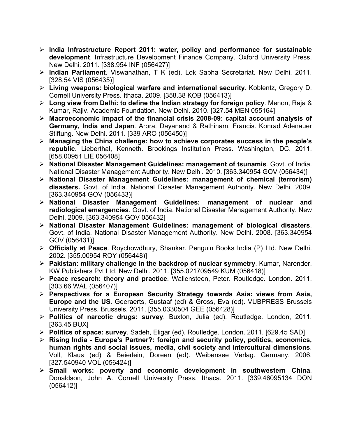- ¾ **India Infrastructure Report 2011: water, policy and performance for sustainable development**. Infrastructure Development Finance Company. Oxford University Press. New Delhi. 2011. [338.954 INF (056427)]
- ¾ **Indian Parliament**. Viswanathan, T K (ed). Lok Sabha Secretariat. New Delhi. 2011. [328.54 VIS (056435)]
- ¾ **Living weapons: biological warfare and international security**. Koblentz, Gregory D. Cornell University Press. Ithaca. 2009. [358.38 KOB (056413)]
- ¾ **Long view from Delhi: to define the Indian strategy for foreign policy**. Menon, Raja & Kumar, Rajiv. Academic Foundation. New Delhi. 2010. [327.54 MEN 055164]
- ¾ **Macroeconomic impact of the financial crisis 2008-09: capital account analysis of Germany, India and Japan**. Arora, Dayanand & Rathinam, Francis. Konrad Adenauer Stiftung. New Delhi. 2011. [339 ARO (056450)]
- ¾ **Managing the China challenge: how to achieve corporates success in the people's republic**. Lieberthal, Kenneth. Brookings Institution Press. Washington, DC. 2011. [658.00951 LIE 056408]
- ¾ **National Disaster Management Guidelines: management of tsunamis**. Govt. of India. National Disaster Management Authority. New Delhi. 2010. [363.340954 GOV (056434)]
- ¾ **National Disaster Management Guidelines: management of chemical (terrorism) disasters.** Govt. of India. National Disaster Management Authority. New Delhi. 2009. [363.340954 GOV (056433)]
- ¾ **National Disaster Management Guidelines: management of nuclear and radiological emergencies**. Govt. of India. National Disaster Management Authority. New Delhi. 2009. [363.340954 GOV 056432]
- ¾ **National Disaster Management Guidelines: management of biological disasters**. Govt. of India. National Disaster Management Authority. New Delhi. 2008. [363.340954 GOV (056431)]
- ¾ **Officially at Peace**. Roychowdhury, Shankar. Penguin Books India (P) Ltd. New Delhi. 2002. [355.00954 ROY (056448)]
- ¾ **Pakistan: military challenge in the backdrop of nuclear symmetry**. Kumar, Narender. KW Publishers Pvt Ltd. New Delhi. 2011. [355.021709549 KUM (056418)]
- ¾ **Peace research: theory and practice**. Wallensteen, Peter. Routledge. London. 2011. [303.66 WAL (056407)]
- ¾ **Perspectives for a European Security Strategy towards Asia: views from Asia, Europe and the US**. Geeraerts, Gustaaf (ed) & Gross, Eva (ed). VUBPRESS Brussels University Press. Brussels. 2011. [355.0330504 GEE (056428)]
- ¾ **Politics of narcotic drugs: survey**. Buxton, Julia (ed). Routledge. London, 2011. [363.45 BUX]
- ¾ **Politics of space: survey**. Sadeh, Eligar (ed). Routledge. London. 2011. [629.45 SAD]
- ¾ **Rising India Europe's Partner?: foreign and security policy, politics, economics, human rights and social issues, media, civil society and intercultural dimensions**. Voll, Klaus (ed) & Beierlein, Doreen (ed). Weibensee Verlag. Germany. 2006. [327.540940 VOL (056424)]
- ¾ **Small works: poverty and economic development in southwestern China**. Donaldson, John A. Cornell University Press. Ithaca. 2011. [339.46095134 DON (056412)]